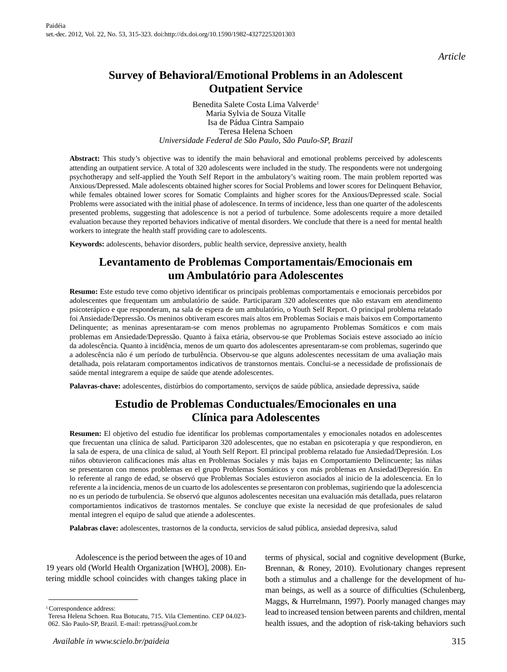*Article*

# **Survey of Behavioral/Emotional Problems in an Adolescent Outpatient Service**

Benedita Salete Costa Lima Valverde<sup>1</sup> Maria Sylvia de Souza Vitalle Isa de Pádua Cintra Sampaio Teresa Helena Schoen *Universidade Federal de São Paulo, São Paulo-SP, Brazil*

**Abstract:** This study's objective was to identify the main behavioral and emotional problems perceived by adolescents attending an outpatient service. A total of 320 adolescents were included in the study. The respondents were not undergoing psychotherapy and self-applied the Youth Self Report in the ambulatory's waiting room. The main problem reported was Anxious/Depressed. Male adolescents obtained higher scores for Social Problems and lower scores for Delinquent Behavior, while females obtained lower scores for Somatic Complaints and higher scores for the Anxious/Depressed scale. Social Problems were associated with the initial phase of adolescence. In terms of incidence, less than one quarter of the adolescents presented problems, suggesting that adolescence is not a period of turbulence. Some adolescents require a more detailed evaluation because they reported behaviors indicative of mental disorders. We conclude that there is a need for mental health workers to integrate the health staff providing care to adolescents.

**Keywords:** adolescents, behavior disorders, public health service, depressive anxiety, health

## **Levantamento de Problemas Comportamentais/Emocionais em um Ambulatório para Adolescentes**

**Resumo:** Este estudo teve como objetivo identificar os principais problemas comportamentais e emocionais percebidos por adolescentes que frequentam um ambulatório de saúde. Participaram 320 adolescentes que não estavam em atendimento psicoterápico e que responderam, na sala de espera de um ambulatório, o Youth Self Report. O principal problema relatado foi Ansiedade/Depressão. Os meninos obtiveram escores mais altos em Problemas Sociais e mais baixos em Comportamento Delinquente; as meninas apresentaram-se com menos problemas no agrupamento Problemas Somáticos e com mais problemas em Ansiedade/Depressão. Quanto à faixa etária, observou-se que Problemas Sociais esteve associado ao início da adolescência. Quanto à incidência, menos de um quarto dos adolescentes apresentaram-se com problemas, sugerindo que a adolescência não é um período de turbulência. Observou-se que alguns adolescentes necessitam de uma avaliação mais detalhada, pois relataram comportamentos indicativos de transtornos mentais. Conclui-se a necessidade de profissionais de saúde mental integrarem a equipe de saúde que atende adolescentes.

**Palavras-chave:** adolescentes, distúrbios do comportamento, serviços de saúde pública, ansiedade depressiva, saúde

## **Estudio de Problemas Conductuales/Emocionales en una Clínica para Adolescentes**

Resumen: El objetivo del estudio fue identificar los problemas comportamentales y emocionales notados en adolescentes que frecuentan una clínica de salud. Participaron 320 adolescentes, que no estaban en psicoterapia y que respondieron, en la sala de espera, de una clínica de salud, al Youth Self Report. El principal problema relatado fue Ansiedad/Depresión. Los niños obtuvieron calificaciones más altas en Problemas Sociales y más bajas en Comportamiento Delincuente; las niñas se presentaron con menos problemas en el grupo Problemas Somáticos y con más problemas en Ansiedad/Depresión. En lo referente al rango de edad, se observó que Problemas Sociales estuvieron asociados al inicio de la adolescencia. En lo referente a la incidencia, menos de un cuarto de los adolescentes se presentaron con problemas, sugiriendo que la adolescencia no es un periodo de turbulencia. Se observó que algunos adolescentes necesitan una evaluación más detallada, pues relataron comportamientos indicativos de trastornos mentales. Se concluye que existe la necesidad de que profesionales de salud mental integren el equipo de salud que atiende a adolescentes.

**Palabras clave:** adolescentes, trastornos de la conducta, servicios de salud pública, ansiedad depresiva, salud

Adolescence is the period between the ages of 10 and 19 years old (World Health Organization [WHO], 2008). Entering middle school coincides with changes taking place in

<sup>1</sup> Correspondence address:

terms of physical, social and cognitive development (Burke, Brennan, & Roney, 2010). Evolutionary changes represent both a stimulus and a challenge for the development of human beings, as well as a source of difficulties (Schulenberg, Maggs, & Hurrelmann, 1997). Poorly managed changes may lead to increased tension between parents and children, mental health issues, and the adoption of risk-taking behaviors such

Teresa Helena Schoen. Rua Botucatu, 715. Vila Clementino. CEP 04.023- 062. São Paulo-SP, Brazil. E-mail: rpetrass@uol.com.br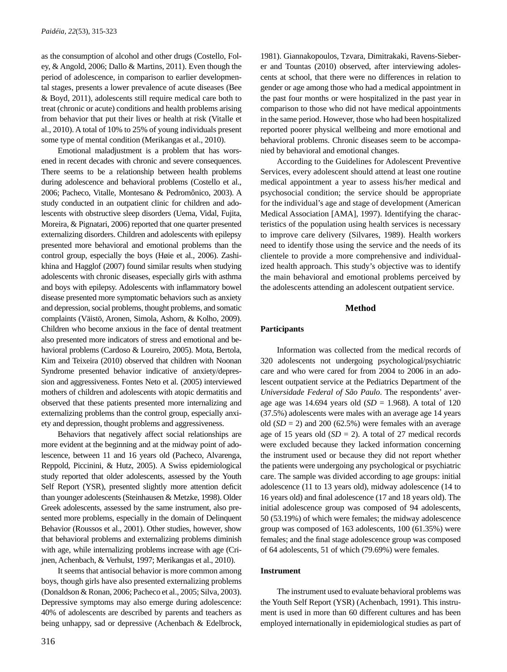as the consumption of alcohol and other drugs (Costello, Foley, & Angold, 2006; Dallo & Martins, 2011). Even though the period of adolescence, in comparison to earlier developmental stages, presents a lower prevalence of acute diseases (Bee & Boyd, 2011), adolescents still require medical care both to treat (chronic or acute) conditions and health problems arising from behavior that put their lives or health at risk (Vitalle et al., 2010). A total of 10% to 25% of young individuals present some type of mental condition (Merikangas et al., 2010).

Emotional maladjustment is a problem that has worsened in recent decades with chronic and severe consequences. There seems to be a relationship between health problems during adolescence and behavioral problems (Costello et al., 2006; Pacheco, Vitalle, Montesano & Pedromônico, 2003). A study conducted in an outpatient clinic for children and adolescents with obstructive sleep disorders (Uema, Vidal, Fujita, Moreira, & Pignatari, 2006) reported that one quarter presented externalizing disorders. Children and adolescents with epilepsy presented more behavioral and emotional problems than the control group, especially the boys (Høie et al., 2006). Zashikhina and Hagglof (2007) found similar results when studying adolescents with chronic diseases, especially girls with asthma and boys with epilepsy. Adolescents with inflammatory bowel disease presented more symptomatic behaviors such as anxiety and depression, social problems, thought problems, and somatic complaints (Väistö, Aronen, Simola, Ashorn, & Kolho, 2009). Children who become anxious in the face of dental treatment also presented more indicators of stress and emotional and behavioral problems (Cardoso & Loureiro, 2005). Mota, Bertola, Kim and Teixeira (2010) observed that children with Noonan Syndrome presented behavior indicative of anxiety/depression and aggressiveness. Fontes Neto et al. (2005) interviewed mothers of children and adolescents with atopic dermatitis and observed that these patients presented more internalizing and externalizing problems than the control group, especially anxiety and depression, thought problems and aggressiveness.

Behaviors that negatively affect social relationships are more evident at the beginning and at the midway point of adolescence, between 11 and 16 years old (Pacheco, Alvarenga, Reppold, Piccinini, & Hutz, 2005). A Swiss epidemiological study reported that older adolescents, assessed by the Youth Self Report (YSR), presented slightly more attention deficit than younger adolescents (Steinhausen & Metzke, 1998). Older Greek adolescents, assessed by the same instrument, also presented more problems, especially in the domain of Delinquent Behavior (Roussos et al., 2001). Other studies, however, show that behavioral problems and externalizing problems diminish with age, while internalizing problems increase with age (Crijnen, Achenbach, & Verhulst, 1997; Merikangas et al., 2010).

It seems that antisocial behavior is more common among boys, though girls have also presented externalizing problems (Donaldson & Ronan, 2006; Pacheco et al., 2005; Silva, 2003). Depressive symptoms may also emerge during adolescence: 40% of adolescents are described by parents and teachers as being unhappy, sad or depressive (Achenbach & Edelbrock, 1981). Giannakopoulos, Tzvara, Dimitrakaki, Ravens-Sieberer and Tountas (2010) observed, after interviewing adolescents at school, that there were no differences in relation to gender or age among those who had a medical appointment in the past four months or were hospitalized in the past year in comparison to those who did not have medical appointments in the same period. However, those who had been hospitalized reported poorer physical wellbeing and more emotional and behavioral problems. Chronic diseases seem to be accompanied by behavioral and emotional changes.

According to the Guidelines for Adolescent Preventive Services, every adolescent should attend at least one routine medical appointment a year to assess his/her medical and psychosocial condition; the service should be appropriate for the individual's age and stage of development (American Medical Association [AMA], 1997). Identifying the characteristics of the population using health services is necessary to improve care delivery (Silvares, 1989). Health workers need to identify those using the service and the needs of its clientele to provide a more comprehensive and individualized health approach. This study's objective was to identify the main behavioral and emotional problems perceived by the adolescents attending an adolescent outpatient service.

#### **Method**

## **Participants**

Information was collected from the medical records of 320 adolescents not undergoing psychological/psychiatric care and who were cared for from 2004 to 2006 in an adolescent outpatient service at the Pediatrics Department of the *Universidade Federal of São Paulo*. The respondents' average age was 14.694 years old (*SD* = 1.968). A total of 120 (37.5%) adolescents were males with an average age 14 years old  $(SD = 2)$  and 200 (62.5%) were females with an average age of 15 years old  $(SD = 2)$ . A total of 27 medical records were excluded because they lacked information concerning the instrument used or because they did not report whether the patients were undergoing any psychological or psychiatric care. The sample was divided according to age groups: initial adolescence (11 to 13 years old), midway adolescence (14 to 16 years old) and final adolescence (17 and 18 years old). The initial adolescence group was composed of 94 adolescents, 50 (53.19%) of which were females; the midway adolescence group was composed of 163 adolescents, 100 (61.35%) were females; and the final stage adolescence group was composed of 64 adolescents, 51 of which (79.69%) were females.

### **Instrument**

The instrument used to evaluate behavioral problems was the Youth Self Report (YSR) (Achenbach, 1991). This instrument is used in more than 60 different cultures and has been employed internationally in epidemiological studies as part of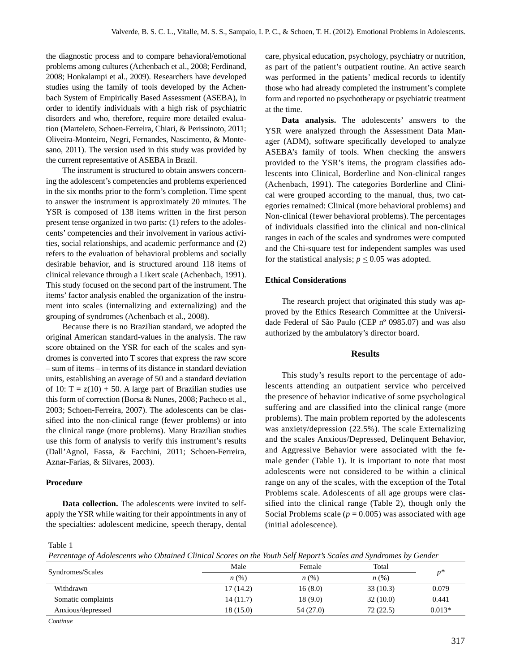the diagnostic process and to compare behavioral/emotional problems among cultures (Achenbach et al., 2008; Ferdinand, 2008; Honkalampi et al., 2009). Researchers have developed studies using the family of tools developed by the Achenbach System of Empirically Based Assessment (ASEBA), in order to identify individuals with a high risk of psychiatric disorders and who, therefore, require more detailed evaluation (Marteleto, Schoen-Ferreira, Chiari, & Perissinoto, 2011; Oliveira-Monteiro, Negri, Fernandes, Nascimento, & Montesano, 2011). The version used in this study was provided by the current representative of ASEBA in Brazil.

The instrument is structured to obtain answers concerning the adolescent's competencies and problems experienced in the six months prior to the form's completion. Time spent to answer the instrument is approximately 20 minutes. The YSR is composed of 138 items written in the first person present tense organized in two parts: (1) refers to the adolescents' competencies and their involvement in various activities, social relationships, and academic performance and (2) refers to the evaluation of behavioral problems and socially desirable behavior, and is structured around 118 items of clinical relevance through a Likert scale (Achenbach, 1991). This study focused on the second part of the instrument. The items' factor analysis enabled the organization of the instrument into scales (internalizing and externalizing) and the grouping of syndromes (Achenbach et al., 2008).

Because there is no Brazilian standard, we adopted the original American standard-values in the analysis. The raw score obtained on the YSR for each of the scales and syndromes is converted into T scores that express the raw score – sum of items – in terms of its distance in standard deviation units, establishing an average of 50 and a standard deviation of 10:  $T = z(10) + 50$ . A large part of Brazilian studies use this form of correction (Borsa & Nunes, 2008; Pacheco et al., 2003; Schoen-Ferreira, 2007). The adolescents can be classified into the non-clinical range (fewer problems) or into the clinical range (more problems). Many Brazilian studies use this form of analysis to verify this instrument's results (Dall'Agnol, Fassa, & Facchini, 2011; Schoen-Ferreira, Aznar-Farias, & Silvares, 2003).

## **Procedure**

**Data collection.** The adolescents were invited to selfapply the YSR while waiting for their appointments in any of the specialties: adolescent medicine, speech therapy, dental care, physical education, psychology, psychiatry or nutrition, as part of the patient's outpatient routine. An active search was performed in the patients' medical records to identify those who had already completed the instrument's complete form and reported no psychotherapy or psychiatric treatment at the time.

**Data analysis.** The adolescents' answers to the YSR were analyzed through the Assessment Data Manager (ADM), software specifically developed to analyze ASEBA's family of tools. When checking the answers provided to the YSR's items, the program classifies adolescents into Clinical, Borderline and Non-clinical ranges (Achenbach, 1991). The categories Borderline and Clinical were grouped according to the manual, thus, two categories remained: Clinical (more behavioral problems) and Non-clinical (fewer behavioral problems). The percentages of individuals classified into the clinical and non-clinical ranges in each of the scales and syndromes were computed and the Chi-square test for independent samples was used for the statistical analysis;  $p \le 0.05$  was adopted.

## **Ethical Considerations**

The research project that originated this study was approved by the Ethics Research Committee at the Universidade Federal of São Paulo (CEP nº 0985.07) and was also authorized by the ambulatory's director board.

### **Results**

This study's results report to the percentage of adolescents attending an outpatient service who perceived the presence of behavior indicative of some psychological suffering and are classified into the clinical range (more problems). The main problem reported by the adolescents was anxiety/depression (22.5%). The scale Externalizing and the scales Anxious/Depressed, Delinquent Behavior, and Aggressive Behavior were associated with the female gender (Table 1). It is important to note that most adolescents were not considered to be within a clinical range on any of the scales, with the exception of the Total Problems scale. Adolescents of all age groups were classified into the clinical range (Table 2), though only the Social Problems scale ( $p = 0.005$ ) was associated with age (initial adolescence).

### Table 1

*Percentage of Adolescents who Obtained Clinical Scores on the Youth Self Report's Scales and Syndromes by Gender*

| Syndromes/Scales   | Male               | Female             | Total              | $p^*$    |
|--------------------|--------------------|--------------------|--------------------|----------|
|                    | $n\left(\%\right)$ | $n\left(\%\right)$ | $n\left(\%\right)$ |          |
| Withdrawn          | 17(14.2)           | 16(8.0)            | 33(10.3)           | 0.079    |
| Somatic complaints | 14(11.7)           | 18(9.0)            | 32(10.0)           | 0.441    |
| Anxious/depressed  | 18 (15.0)          | 54 (27.0)          | 72(22.5)           | $0.013*$ |
|                    |                    |                    |                    |          |

*Continue*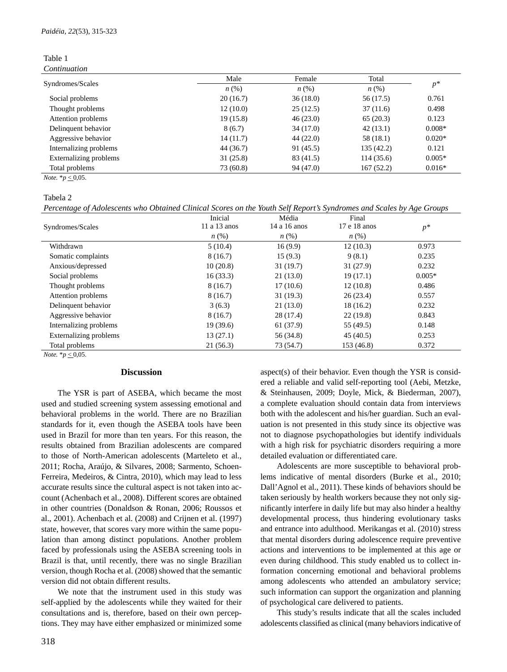Table 1

| Continuation           |                    |                    |                    |          |
|------------------------|--------------------|--------------------|--------------------|----------|
| Syndromes/Scales       | Male               | Female             | Total              | $p^*$    |
|                        | $n\left(\%\right)$ | $n\left(\%\right)$ | $n\left(\%\right)$ |          |
| Social problems        | 20(16.7)           | 36(18.0)           | 56 (17.5)          | 0.761    |
| Thought problems       | 12(10.0)           | 25(12.5)           | 37(11.6)           | 0.498    |
| Attention problems     | 19(15.8)           | 46(23.0)           | 65(20.3)           | 0.123    |
| Delinquent behavior    | 8(6.7)             | 34 (17.0)          | 42(13.1)           | $0.008*$ |
| Aggressive behavior    | 14(11.7)           | 44(22.0)           | 58 (18.1)          | $0.020*$ |
| Internalizing problems | 44 (36.7)          | 91 (45.5)          | 135(42.2)          | 0.121    |
| Externalizing problems | 31(25.8)           | 83 (41.5)          | 114(35.6)          | $0.005*$ |
| Total problems         | 73 (60.8)          | 94 (47.0)          | 167(52.2)          | $0.016*$ |

*Note.*  $*_{p} \leq 0.05$ .

### Tabela 2

*Percentage of Adolescents who Obtained Clinical Scores on the Youth Self Report's Syndromes and Scales by Age Groups*

| Syndromes/Scales              | Inicial<br>$11a13$ anos | Média<br>14 a 16 anos | Final<br>17 e 18 anos | $p^*$    |
|-------------------------------|-------------------------|-----------------------|-----------------------|----------|
|                               | $n\left(\%\right)$      | $n\left(\%\right)$    | $n\left(\%\right)$    |          |
| Withdrawn                     | 5(10.4)                 | 16(9.9)               | 12(10.3)              | 0.973    |
| Somatic complaints            | 8(16.7)                 | 15(9.3)               | 9(8.1)                | 0.235    |
| Anxious/depressed             | 10(20.8)                | 31(19.7)              | 31(27.9)              | 0.232    |
| Social problems               | 16(33.3)                | 21(13.0)              | 19(17.1)              | $0.005*$ |
| Thought problems              | 8(16.7)                 | 17(10.6)              | 12(10.8)              | 0.486    |
| Attention problems            | 8(16.7)                 | 31(19.3)              | 26(23.4)              | 0.557    |
| Delinquent behavior           | 3(6.3)                  | 21(13.0)              | 18(16.2)              | 0.232    |
| Aggressive behavior           | 8(16.7)                 | 28 (17.4)             | 22(19.8)              | 0.843    |
| Internalizing problems        | 19(39.6)                | 61 (37.9)             | 55 (49.5)             | 0.148    |
| <b>Externalizing problems</b> | 13(27.1)                | 56 (34.8)             | 45(40.5)              | 0.253    |
| Total problems                | 21(56.3)                | 73 (54.7)             | 153 (46.8)            | 0.372    |

*Note.*  $*_{p} \leq 0.05$ .

### **Discussion**

The YSR is part of ASEBA, which became the most used and studied screening system assessing emotional and behavioral problems in the world. There are no Brazilian standards for it, even though the ASEBA tools have been used in Brazil for more than ten years. For this reason, the results obtained from Brazilian adolescents are compared to those of North-American adolescents (Marteleto et al., 2011; Rocha, Araújo, & Silvares, 2008; Sarmento, Schoen-Ferreira, Medeiros, & Cintra, 2010), which may lead to less accurate results since the cultural aspect is not taken into account (Achenbach et al., 2008). Different scores are obtained in other countries (Donaldson & Ronan, 2006; Roussos et al., 2001). Achenbach et al. (2008) and Crijnen et al. (1997) state, however, that scores vary more within the same population than among distinct populations. Another problem faced by professionals using the ASEBA screening tools in Brazil is that, until recently, there was no single Brazilian version, though Rocha et al. (2008) showed that the semantic version did not obtain different results.

We note that the instrument used in this study was self-applied by the adolescents while they waited for their consultations and is, therefore, based on their own perceptions. They may have either emphasized or minimized some aspect(s) of their behavior. Even though the YSR is considered a reliable and valid self-reporting tool (Aebi, Metzke, & Steinhausen, 2009; Doyle, Mick, & Biederman, 2007), a complete evaluation should contain data from interviews both with the adolescent and his/her guardian. Such an evaluation is not presented in this study since its objective was not to diagnose psychopathologies but identify individuals with a high risk for psychiatric disorders requiring a more detailed evaluation or differentiated care.

Adolescents are more susceptible to behavioral problems indicative of mental disorders (Burke et al., 2010; Dall'Agnol et al., 2011). These kinds of behaviors should be taken seriously by health workers because they not only significantly interfere in daily life but may also hinder a healthy developmental process, thus hindering evolutionary tasks and entrance into adulthood. Merikangas et al. (2010) stress that mental disorders during adolescence require preventive actions and interventions to be implemented at this age or even during childhood. This study enabled us to collect information concerning emotional and behavioral problems among adolescents who attended an ambulatory service; such information can support the organization and planning of psychological care delivered to patients.

This study's results indicate that all the scales included adolescents classified as clinical (many behaviors indicative of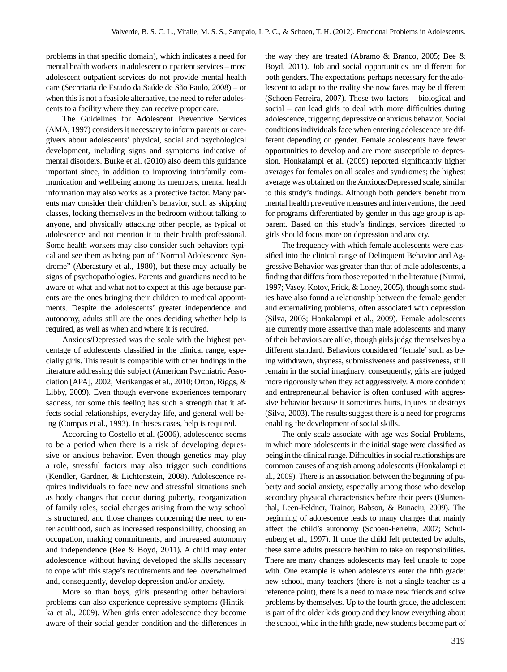problems in that specific domain), which indicates a need for mental health workers in adolescent outpatient services – most adolescent outpatient services do not provide mental health care (Secretaria de Estado da Saúde de São Paulo, 2008) – or when this is not a feasible alternative, the need to refer adolescents to a facility where they can receive proper care.

The Guidelines for Adolescent Preventive Services (AMA, 1997) considers it necessary to inform parents or caregivers about adolescents' physical, social and psychological development, including signs and symptoms indicative of mental disorders. Burke et al. (2010) also deem this guidance important since, in addition to improving intrafamily communication and wellbeing among its members, mental health information may also works as a protective factor. Many parents may consider their children's behavior, such as skipping classes, locking themselves in the bedroom without talking to anyone, and physically attacking other people, as typical of adolescence and not mention it to their health professional. Some health workers may also consider such behaviors typical and see them as being part of "Normal Adolescence Syndrome" (Aberastury et al., 1980), but these may actually be signs of psychopathologies. Parents and guardians need to be aware of what and what not to expect at this age because parents are the ones bringing their children to medical appointments. Despite the adolescents' greater independence and autonomy, adults still are the ones deciding whether help is required, as well as when and where it is required.

Anxious/Depressed was the scale with the highest percentage of adolescents classified in the clinical range, especially girls. This result is compatible with other findings in the literature addressing this subject (American Psychiatric Association [APA], 2002; Merikangas et al., 2010; Orton, Riggs, & Libby, 2009). Even though everyone experiences temporary sadness, for some this feeling has such a strength that it affects social relationships, everyday life, and general well being (Compas et al., 1993). In theses cases, help is required.

According to Costello et al. (2006), adolescence seems to be a period when there is a risk of developing depressive or anxious behavior. Even though genetics may play a role, stressful factors may also trigger such conditions (Kendler, Gardner, & Lichtenstein, 2008). Adolescence requires individuals to face new and stressful situations such as body changes that occur during puberty, reorganization of family roles, social changes arising from the way school is structured, and those changes concerning the need to enter adulthood, such as increased responsibility, choosing an occupation, making commitments, and increased autonomy and independence (Bee & Boyd, 2011). A child may enter adolescence without having developed the skills necessary to cope with this stage's requirements and feel overwhelmed and, consequently, develop depression and/or anxiety.

More so than boys, girls presenting other behavioral problems can also experience depressive symptoms (Hintikka et al., 2009). When girls enter adolescence they become aware of their social gender condition and the differences in the way they are treated (Abramo & Branco, 2005; Bee & Boyd, 2011). Job and social opportunities are different for both genders. The expectations perhaps necessary for the adolescent to adapt to the reality she now faces may be different (Schoen-Ferreira, 2007). These two factors – biological and social – can lead girls to deal with more difficulties during adolescence, triggering depressive or anxious behavior. Social conditions individuals face when entering adolescence are different depending on gender. Female adolescents have fewer opportunities to develop and are more susceptible to depression. Honkalampi et al. (2009) reported significantly higher averages for females on all scales and syndromes; the highest average was obtained on the Anxious/Depressed scale, similar to this study's findings. Although both genders benefit from mental health preventive measures and interventions, the need for programs differentiated by gender in this age group is apparent. Based on this study's findings, services directed to girls should focus more on depression and anxiety.

The frequency with which female adolescents were classified into the clinical range of Delinquent Behavior and Aggressive Behavior was greater than that of male adolescents, a finding that differs from those reported in the literature (Nurmi, 1997; Vasey, Kotov, Frick, & Loney, 2005), though some studies have also found a relationship between the female gender and externalizing problems, often associated with depression (Silva, 2003; Honkalampi et al., 2009). Female adolescents are currently more assertive than male adolescents and many of their behaviors are alike, though girls judge themselves by a different standard. Behaviors considered 'female' such as being withdrawn, shyness, submissiveness and passiveness, still remain in the social imaginary, consequently, girls are judged more rigorously when they act aggressively. A more confident and entrepreneurial behavior is often confused with aggressive behavior because it sometimes hurts, injures or destroys (Silva, 2003). The results suggest there is a need for programs enabling the development of social skills.

The only scale associate with age was Social Problems, in which more adolescents in the initial stage were classified as being in the clinical range. Difficulties in social relationships are common causes of anguish among adolescents (Honkalampi et al., 2009). There is an association between the beginning of puberty and social anxiety, especially among those who develop secondary physical characteristics before their peers (Blumenthal, Leen-Feldner, Trainor, Babson, & Bunaciu, 2009). The beginning of adolescence leads to many changes that mainly affect the child's autonomy (Schoen-Ferreira, 2007; Schulenberg et al., 1997). If once the child felt protected by adults, these same adults pressure her/him to take on responsibilities. There are many changes adolescents may feel unable to cope with. One example is when adolescents enter the fifth grade: new school, many teachers (there is not a single teacher as a reference point), there is a need to make new friends and solve problems by themselves. Up to the fourth grade, the adolescent is part of the older kids group and they know everything about the school, while in the fifth grade, new students become part of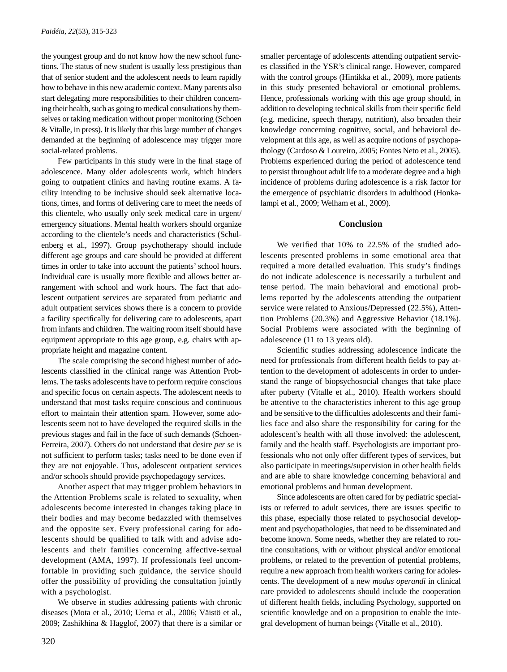the youngest group and do not know how the new school functions. The status of new student is usually less prestigious than that of senior student and the adolescent needs to learn rapidly how to behave in this new academic context. Many parents also start delegating more responsibilities to their children concerning their health, such as going to medical consultations by themselves or taking medication without proper monitoring (Schoen & Vitalle, in press). It is likely that this large number of changes demanded at the beginning of adolescence may trigger more social-related problems.

Few participants in this study were in the final stage of adolescence. Many older adolescents work, which hinders going to outpatient clinics and having routine exams. A facility intending to be inclusive should seek alternative locations, times, and forms of delivering care to meet the needs of this clientele, who usually only seek medical care in urgent/ emergency situations. Mental health workers should organize according to the clientele's needs and characteristics (Schulenberg et al., 1997). Group psychotherapy should include different age groups and care should be provided at different times in order to take into account the patients' school hours. Individual care is usually more flexible and allows better arrangement with school and work hours. The fact that adolescent outpatient services are separated from pediatric and adult outpatient services shows there is a concern to provide a facility specifically for delivering care to adolescents, apart from infants and children. The waiting room itself should have equipment appropriate to this age group, e.g. chairs with appropriate height and magazine content.

The scale comprising the second highest number of adolescents classified in the clinical range was Attention Problems. The tasks adolescents have to perform require conscious and specific focus on certain aspects. The adolescent needs to understand that most tasks require conscious and continuous effort to maintain their attention spam. However, some adolescents seem not to have developed the required skills in the previous stages and fail in the face of such demands (Schoen-Ferreira, 2007). Others do not understand that desire *per se* is not sufficient to perform tasks; tasks need to be done even if they are not enjoyable. Thus, adolescent outpatient services and/or schools should provide psychopedagogy services.

Another aspect that may trigger problem behaviors in the Attention Problems scale is related to sexuality, when adolescents become interested in changes taking place in their bodies and may become bedazzled with themselves and the opposite sex. Every professional caring for adolescents should be qualified to talk with and advise adolescents and their families concerning affective-sexual development (AMA, 1997). If professionals feel uncomfortable in providing such guidance, the service should offer the possibility of providing the consultation jointly with a psychologist.

We observe in studies addressing patients with chronic diseases (Mota et al., 2010; Uema et al., 2006; Väistö et al., 2009; Zashikhina & Hagglof, 2007) that there is a similar or

smaller percentage of adolescents attending outpatient services classified in the YSR's clinical range. However, compared with the control groups (Hintikka et al., 2009), more patients in this study presented behavioral or emotional problems. Hence, professionals working with this age group should, in addition to developing technical skills from their specific field (e.g. medicine, speech therapy, nutrition), also broaden their knowledge concerning cognitive, social, and behavioral development at this age, as well as acquire notions of psychopathology (Cardoso & Loureiro, 2005; Fontes Neto et al., 2005). Problems experienced during the period of adolescence tend to persist throughout adult life to a moderate degree and a high incidence of problems during adolescence is a risk factor for the emergence of psychiatric disorders in adulthood (Honkalampi et al., 2009; Welham et al., 2009).

## **Conclusion**

We verified that  $10\%$  to  $22.5\%$  of the studied adolescents presented problems in some emotional area that required a more detailed evaluation. This study's findings do not indicate adolescence is necessarily a turbulent and tense period. The main behavioral and emotional problems reported by the adolescents attending the outpatient service were related to Anxious/Depressed (22.5%), Attention Problems (20.3%) and Aggressive Behavior (18.1%). Social Problems were associated with the beginning of adolescence (11 to 13 years old).

Scientific studies addressing adolescence indicate the need for professionals from different health fields to pay attention to the development of adolescents in order to understand the range of biopsychosocial changes that take place after puberty (Vitalle et al., 2010). Health workers should be attentive to the characteristics inherent to this age group and be sensitive to the difficulties adolescents and their families face and also share the responsibility for caring for the adolescent's health with all those involved: the adolescent, family and the health staff. Psychologists are important professionals who not only offer different types of services, but also participate in meetings/supervision in other health fields and are able to share knowledge concerning behavioral and emotional problems and human development.

Since adolescents are often cared for by pediatric specialists or referred to adult services, there are issues specific to this phase, especially those related to psychosocial development and psychopathologies, that need to be disseminated and become known. Some needs, whether they are related to routine consultations, with or without physical and/or emotional problems, or related to the prevention of potential problems, require a new approach from health workers caring for adolescents. The development of a new *modus operandi* in clinical care provided to adolescents should include the cooperation of different health fields, including Psychology, supported on scientific knowledge and on a proposition to enable the integral development of human beings (Vitalle et al., 2010).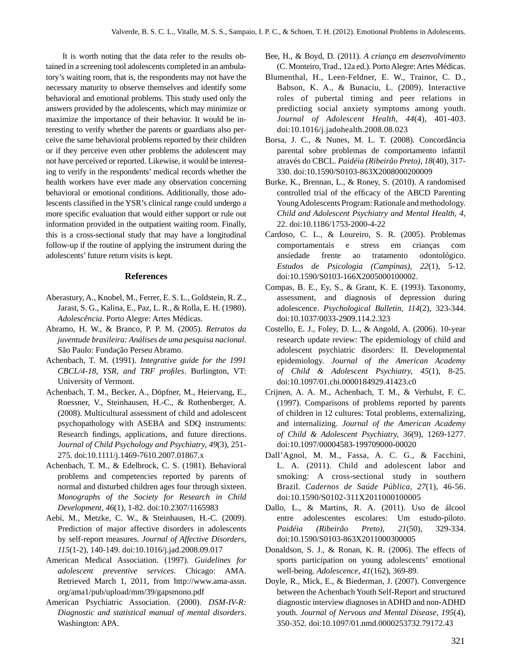It is worth noting that the data refer to the results obtained in a screening tool adolescents completed in an ambulatory's waiting room, that is, the respondents may not have the necessary maturity to observe themselves and identify some behavioral and emotional problems. This study used only the answers provided by the adolescents, which may minimize or maximize the importance of their behavior. It would be interesting to verify whether the parents or guardians also perceive the same behavioral problems reported by their children or if they perceive even other problems the adolescent may not have perceived or reported. Likewise, it would be interesting to verify in the respondents' medical records whether the health workers have ever made any observation concerning behavioral or emotional conditions. Additionally, those adolescents classified in the YSR's clinical range could undergo a more specific evaluation that would either support or rule out information provided in the outpatient waiting room. Finally, this is a cross-sectional study that may have a longitudinal follow-up if the routine of applying the instrument during the adolescents' future return visits is kept.

## **References**

- Aberastury, A., Knobel, M., Ferrer, E. S. L., Goldstein, R. Z., Jarast, S. G., Kalina, E., Paz, L. R., & Rolla, E. H. (1980). *Adolescência*. Porto Alegre: Artes Médicas.
- Abramo, H. W., & Branco, P. P. M. (2005). *Retratos da juventude brasileira: Análises de uma pesquisa nacional*. São Paulo: Fundação Perseu Abramo.
- Achenbach, T. M. (1991). *Integrative guide for the 1991 CBCL/4-18, YSR, and TRF profiles.* Burlington, VT: University of Vermont.
- Achenbach, T. M., Becker, A., Döpfner, M., Heiervang, E., Roessner, V., Steinhausen, H.-C., & Rothenberger, A. (2008). Multicultural assessment of child and adolescent psychopathology with ASEBA and SDQ instruments: Research findings, applications, and future directions. *Journal of Child Psychology and Psychiatry, 49*(3), 251- 275. doi:10.1111/j.1469-7610.2007.01867.x
- Achenbach, T. M., & Edelbrock, C. S. (1981). Behavioral problems and competencies reported by parents of normal and disturbed children ages four through sixteen. *Monographs of the Society for Research in Child Development, 46*(1), 1-82. doi:10.2307/1165983
- Aebi, M., Metzke, C. W., & Steinhausen, H.-C. (2009). Prediction of major affective disorders in adolescents by self-report measures. *Journal of Affective Disorders, 115*(1-2), 140-149. doi:10.1016/j.jad.2008.09.017
- American Medical Association. (1997). *Guidelines for adolescent preventive services*. Chicago: AMA. Retrieved March 1, 2011, from http://www.ama-assn. org/ama1/pub/upload/mm/39/gapsmono.pdf
- American Psychiatric Association. (2000). *DSM-IV-R: Diagnostic and statistical manual of mental disorders*. Washington: APA.
- Bee, H., & Boyd, D. (2011). *A criança em desenvolvimento* (C. Monteiro, Trad., 12a ed.). Porto Alegre: Artes Médicas.
- Blumenthal, H., Leen-Feldner, E. W., Trainor, C. D., Babson, K. A., & Bunaciu, L. (2009). Interactive roles of pubertal timing and peer relations in predicting social anxiety symptoms among youth. *Journal of Adolescent Health, 44*(4), 401-403. doi:10.1016/j.jadohealth.2008.08.023
- Borsa, J. C., & Nunes, M. L. T. (2008). Concordância parental sobre problemas de comportamento infantil através do CBCL. *Paidéia (Ribeirão Preto), 18*(40), 317- 330. doi:10.1590/S0103-863X2008000200009
- Burke, K., Brennan, L., & Roney, S. (2010). A randomised controlled trial of the efficacy of the ABCD Parenting Young Adolescents Program: Rationale and methodology. *Child and Adolescent Psychiatry and Mental Health, 4*, 22. doi:10.1186/1753-2000-4-22
- Cardoso, C. L., & Loureiro, S. R. (2005). Problemas comportamentais e stress em crianças com ansiedade frente ao tratamento odontológico. *Estudos de Psicologia (Campinas), 22*(1), 5-12. doi:10.1590/S0103 -166X2005000100002.
- Compas, B. E., Ey, S., & Grant, K. E. (1993). Taxonomy, assessment, and diagnosis of depression during adolescence. *Psychological Bulletin, 114*(2), 323-344. doi:10.1037/0033-2909.114.2.323
- Costello, E. J., Foley, D. L., & Angold, A. (2006). 10-year research update review: The epidemiology of child and adolescent psychiatric disorders: II. Developmental epidemiology. *Journal of the American Academy of Child & Adolescent Psychiatry, 45*(1), 8-25. doi:10.1097/01.chi.0000184929.41423.c0
- Crijnen, A. A. M., Achenbach, T. M., & Verhulst, F. C. (1997). Comparisons of problems reported by parents of children in 12 cultures: Total problems, externalizing, and internalizing. *Journal of the American Academy of Child & Adolescent Psychiatry, 36*(9), 1269-1277. doi:10.1097/00004583-199709000-00020
- Dall'Agnol, M. M., Fassa, A. C. G., & Facchini, L. A. (2011). Child and adolescent labor and smoking: A cross-sectional study in southern Brazil. *Cadernos de Saúde Pública, 27*(1), 46-56. doi:10.1590/S0102-311X2011000100005
- Dallo, L., & Martins, R. A. (2011). Uso de álcool entre adolescentes escolares: Um estudo-piloto. *Paidéia (Ribeirão Preto), 21*(50), 329-334. doi:10.1590/S0103-863X2011000300005
- Donaldson, S. J., & Ronan, K. R. (2006). The effects of sports participation on young adolescents' emotional well-being. *Adolescence, 41*(162), 369-89.
- Doyle, R., Mick, E., & Biederman, J. (2007). Convergence between the Achenbach Youth Self-Report and structured diagnostic interview diagnoses in ADHD and non-ADHD youth. *Journal of Nervous and Mental Disease, 195*(4), 350-352. doi:10.1097/01.nmd.0000253732.79172.43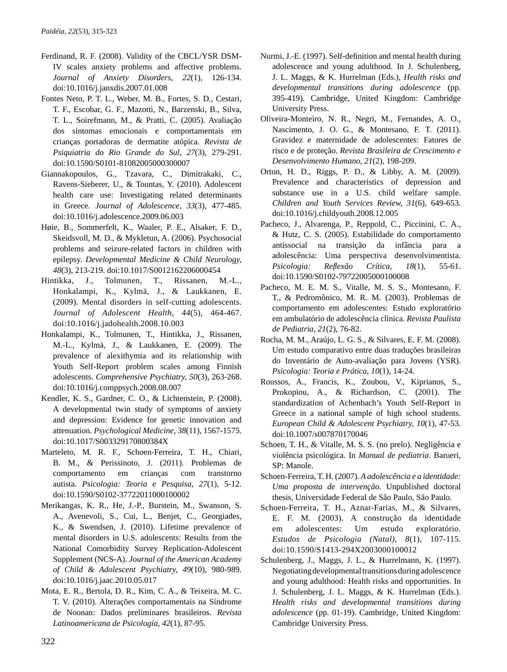- Ferdinand, R. F. (2008). Validity of the CBCL/YSR DSM-IV scales anxiety problems and affective problems. *Journal of Anxiety Disorders, 22*(1), 126-134. doi:10.1016/j.janxdis.2007.01.008
- Fontes Neto, P. T. L., Weber, M. B., Fortes, S. D., Cestari, T. F., Escobar, G. F., Mazotti, N., Barzenski, B., Silva, T. L., Soirefmann, M., & Pratti, C. (2005). Avaliação dos sintomas emocionais e comportamentais em crianças portadoras de dermatite atópica. *Revista de Psiquiatria do Rio Grande do Sul, 27*(3), 279-291. doi:10.1590/S0101-81082005000300007
- Giannakopoulos, G., Tzavara, C., Dimitrakaki, C., Ravens-Sieberer, U., & Tountas, Y. (2010). Adolescent health care use: Investigating related determinants in Greece. *Journal of Adolescence, 33*(3), 477-485. doi:10.1016/j.adolescence.2009.06.003
- Høie, B., Sommerfelt, K., Waaler, P. E., Alsaker, F. D., Skeidsvoll, M. D., & Mykletun, A. (2006). Psychosocial problems and seizure-related factors in children with epilepsy. *Developmental Medicine & Child Neurology, 48*(3), 213-219. doi:10.1017/S0012162206000454
- Hintikka, J., Tolmunen, T., Rissanen, M.-L., Honkalampi, K., Kylmä, J., & Laukkanen, E. (2009). Mental disorders in self-cutting adolescents. *Journal of Adolescent Health, 44*(5), 464-467. doi:10.1016/j.jadohealth.2008.10.003
- Honkalampi, K., Tolmunen, T., Hintikka, J., Rissanen, M.-L., Kylmä, J., & Laukkanen, E. (2009). The prevalence of alexithymia and its relationship with Youth Self-Report problem scales among Finnish adolescents. *Comprehensive Psychiatry, 50*(3), 263-268. doi:10.1016/j.comppsych.2008.08.007
- Kendler, K. S., Gardner, C. O., & Lichtenstein, P. (2008). A developmental twin study of symptoms of anxiety and depression: Evidence for genetic innovation and attenuation. *Psychological Medicine, 38*(11), 1567-1575. doi:10.1017/S003329170800384X
- Marteleto, M. R. F., Schoen-Ferreira, T. H., Chiari, B. M., & Perissinoto, J. (2011). Problemas de comportamento em crianças com transtorno autista. *Psicologia: Teoria e Pesquisa, 27*(1), 5-12. doi:10.1590/S0102-37722011000100002
- Merikangas, K. R., He, J.-P., Burstein, M., Swanson, S. A., Avenevoli, S., Cui, L., Benjet, C., Georgiades, K., & Swendsen, J. (2010). Lifetime prevalence of mental disorders in U.S. adolescents: Results from the National Comorbidity Survey Replication-Adolescent Supplement (NCS-A). *Journal of the American Academy of Child & Adolescent Psychiatry, 49*(10), 980-989. doi:10.1016/j.jaac.2010.05.017
- Mota, E. R., Bertola, D. R., Kim, C. A., & Teixeira, M. C. T. V. (2010). Alterações comportamentais na Síndrome de Noonan: Dados preliminares brasileiros. *Revista Latinoamericana de Psicología, 42*(1), 87-95.
- Nurmi, J.-E. (1997). Self-definition and mental health during adolescence and young adulthood. In J. Schulenberg, J. L. Maggs, & K. Hurrelman (Eds.), *Health risks and developmental transitions during adolescence* (pp. 395-419). Cambridge, United Kingdom: Cambridge University Press.
- Oliveira-Monteiro, N. R., Negri, M., Fernandes, A. O., Nascimento, J. O. G., & Montesano, F. T. (2011). Gravidez e maternidade de adolescentes: Fatores de risco e de proteção. *Revista Brasileira de Crescimento e Desenvolvimento Humano, 21*(2), 198-209.
- Orton, H. D., Riggs, P. D., & Libby, A. M. (2009). Prevalence and characteristics of depression and substance use in a U.S. child welfare sample. *Children and Youth Services Review, 31*(6), 649-653. doi:10.1016/j.childyouth.2008.12.005
- Pacheco, J., Alvarenga, P., Reppold, C., Piccinini, C. A., & Hutz, C. S. (2005). Estabilidade do comportamento antissocial na transição da infância para a adolescência: Uma perspectiva desenvolvimentista. *Psicologia: Reflexão Crítica, 18(1), 55-61.* doi:10.1590/S0102-79722005000100008
- Pacheco, M. E. M. S., Vitalle, M. S. S., Montesano, F. T., & Pedromônico, M. R. M. (2003). Problemas de comportamento em adolescentes: Estudo exploratório em ambulatório de adolescência clínica. *Revista Paulista de Pediatria, 21*(2), 76-82.
- Rocha, M. M., Araújo, L. G. S., & Silvares, E. F. M. (2008). Um estudo comparativo entre duas traduções brasileiras do Inventário de Auto-avaliação para Jovens (YSR). *Psicologia: Teoria e Prática, 10*(1), 14-24.
- Roussos, A., Francis, K., Zoubou, V., Kiprianos, S., Prokopiou, A., & Richardson, C. (2001). The standardization of Achenbach's Youth Self-Report in Greece in a national sample of high school students. *European Child & Adolescent Psychiatry, 10*(1), 47-53. doi:10.1007/s007870170046
- Schoen, T. H., & Vitalle, M. S. S. (no prelo). Negligência e violência psicológica. In *Manual de pediatria*. Barueri, SP: Manole.
- Schoen-Ferreira, T. H. (2007). *A adolescência e a identidade: Uma proposta de intervenção.* Unpublished doctoral thesis, Universidade Federal de São Paulo, São Paulo.
- Schoen-Ferreira, T. H., Aznar-Farias, M., & Silvares, E. F. M. (2003). A construção da identidade em adolescentes: Um estudo exploratório. *Estudos de Psicologia (Natal), 8*(1), 107-115. doi:10.1590/S1413-294X2003000100012
- Schulenberg, J., Maggs, J. L., & Hurrelmann, K. (1997). Negotiating developmental transitions during adolescence and young adulthood: Health risks and opportunities. In J. Schulenberg, J. L. Maggs, & K. Hurrelman (Eds.). *Health risks and developmental transitions during adolescence* (pp. 01-19). Cambridge, United Kingdom: Cambridge University Press.